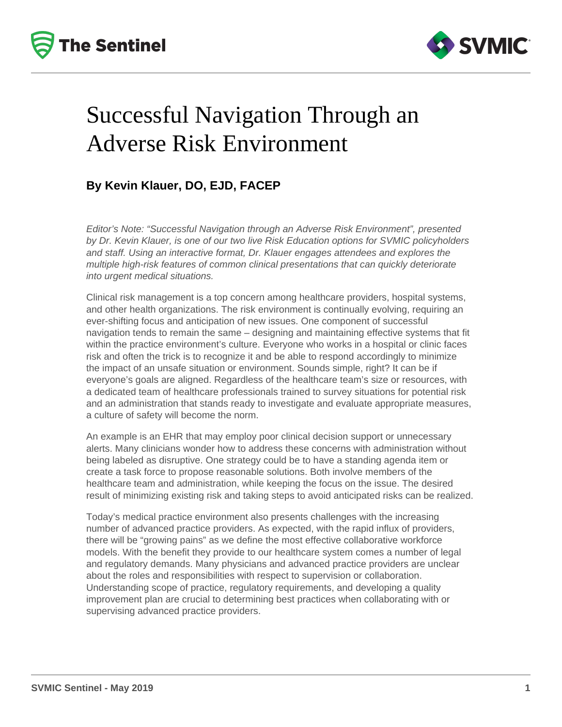



# Successful Navigation Through an Adverse Risk Environment

## **By Kevin Klauer, DO, EJD, FACEP**

Editor's Note: "Successful Navigation through an Adverse Risk Environment", presented by Dr. Kevin Klauer, is one of our two live Risk Education options for SVMIC policyholders and staff. Using an interactive format, Dr. Klauer engages attendees and explores the multiple high-risk features of common clinical presentations that can quickly deteriorate into urgent medical situations.

Clinical risk management is a top concern among healthcare providers, hospital systems, and other health organizations. The risk environment is continually evolving, requiring an ever-shifting focus and anticipation of new issues. One component of successful navigation tends to remain the same – designing and maintaining effective systems that fit within the practice environment's culture. Everyone who works in a hospital or clinic faces risk and often the trick is to recognize it and be able to respond accordingly to minimize the impact of an unsafe situation or environment. Sounds simple, right? It can be if everyone's goals are aligned. Regardless of the healthcare team's size or resources, with a dedicated team of healthcare professionals trained to survey situations for potential risk and an administration that stands ready to investigate and evaluate appropriate measures, a culture of safety will become the norm.

An example is an EHR that may employ poor clinical decision support or unnecessary alerts. Many clinicians wonder how to address these concerns with administration without being labeled as disruptive. One strategy could be to have a standing agenda item or create a task force to propose reasonable solutions. Both involve members of the healthcare team and administration, while keeping the focus on the issue. The desired result of minimizing existing risk and taking steps to avoid anticipated risks can be realized.

Today's medical practice environment also presents challenges with the increasing number of advanced practice providers. As expected, with the rapid influx of providers, there will be "growing pains" as we define the most effective collaborative workforce models. With the benefit they provide to our healthcare system comes a number of legal and regulatory demands. Many physicians and advanced practice providers are unclear about the roles and responsibilities with respect to supervision or collaboration. Understanding scope of practice, regulatory requirements, and developing a quality improvement plan are crucial to determining best practices when collaborating with or supervising advanced practice providers.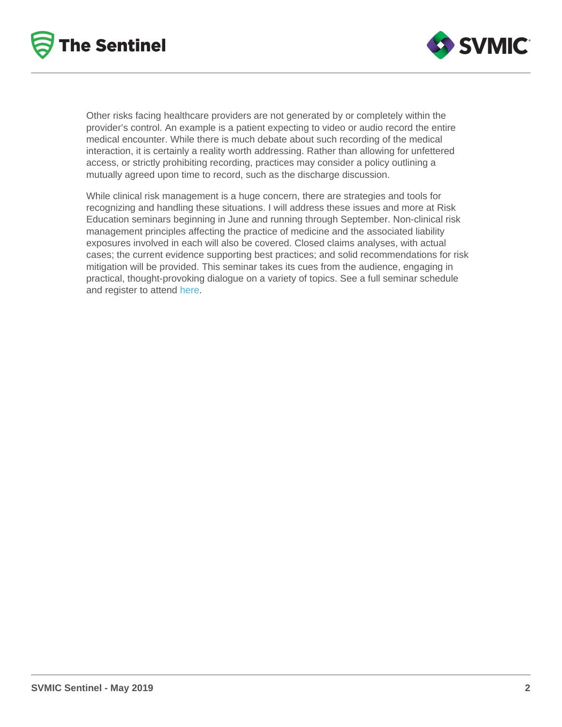Other risks facing healthcare providers are not generated by or completely within the provider's control. An example is a patient expecting to video or audio record the entire medical encounter. While there is much debate about such recording of the medical interaction, it is certainly a reality worth addressing. Rather than allowing for unfettered access, or strictly prohibiting recording, practices may consider a policy outlining a mutually agreed upon time to record, such as the discharge discussion.

While clinical risk management is a huge concern, there are strategies and tools for recognizing and handling these situations. I will address these issues and more at Risk Education seminars beginning in June and running through September. Non-clinical risk management principles affecting the practice of medicine and the associated liability exposures involved in each will also be covered. Closed claims analyses, with actual cases; the current evidence supporting best practices; and solid recommendations for risk mitigation will be provided. This seminar takes its cues from the audience, engaging in practical, thought-provoking dialogue on a variety of topics. See a full seminar schedule and register to attend [here](https://education.svmic.com/courses/published?title=Successful+Navigation+Through+an+Adverse+Risk+Environment&field_course_format_tid=54&field_city_tid=All).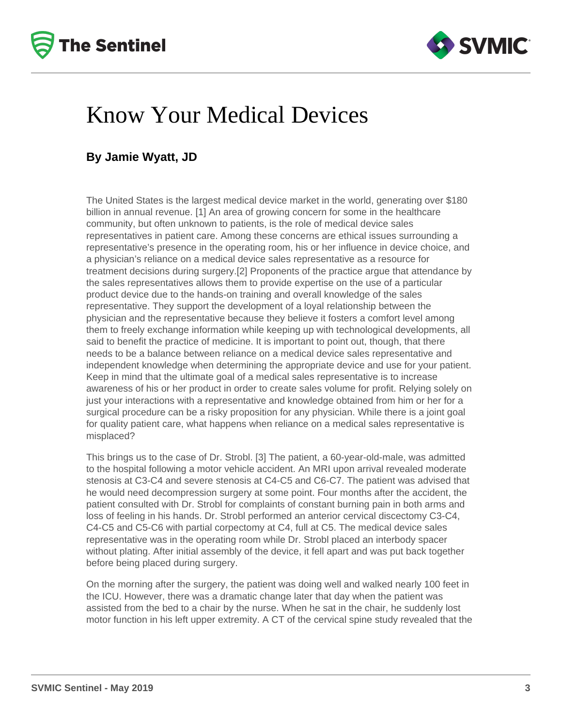



## Know Your Medical Devices

#### **By Jamie Wyatt, JD**

The United States is the largest medical device market in the world, generating over \$180 billion in annual revenue. [1] An area of growing concern for some in the healthcare community, but often unknown to patients, is the role of medical device sales representatives in patient care. Among these concerns are ethical issues surrounding a representative's presence in the operating room, his or her influence in device choice, and a physician's reliance on a medical device sales representative as a resource for treatment decisions during surgery.[2] Proponents of the practice argue that attendance by the sales representatives allows them to provide expertise on the use of a particular product device due to the hands-on training and overall knowledge of the sales representative. They support the development of a loyal relationship between the physician and the representative because they believe it fosters a comfort level among them to freely exchange information while keeping up with technological developments, all said to benefit the practice of medicine. It is important to point out, though, that there needs to be a balance between reliance on a medical device sales representative and independent knowledge when determining the appropriate device and use for your patient. Keep in mind that the ultimate goal of a medical sales representative is to increase awareness of his or her product in order to create sales volume for profit. Relying solely on just your interactions with a representative and knowledge obtained from him or her for a surgical procedure can be a risky proposition for any physician. While there is a joint goal for quality patient care, what happens when reliance on a medical sales representative is misplaced?

This brings us to the case of Dr. Strobl. [3] The patient, a 60-year-old-male, was admitted to the hospital following a motor vehicle accident. An MRI upon arrival revealed moderate stenosis at C3-C4 and severe stenosis at C4-C5 and C6-C7. The patient was advised that he would need decompression surgery at some point. Four months after the accident, the patient consulted with Dr. Strobl for complaints of constant burning pain in both arms and loss of feeling in his hands. Dr. Strobl performed an anterior cervical discectomy C3-C4, C4-C5 and C5-C6 with partial corpectomy at C4, full at C5. The medical device sales representative was in the operating room while Dr. Strobl placed an interbody spacer without plating. After initial assembly of the device, it fell apart and was put back together before being placed during surgery.

On the morning after the surgery, the patient was doing well and walked nearly 100 feet in the ICU. However, there was a dramatic change later that day when the patient was assisted from the bed to a chair by the nurse. When he sat in the chair, he suddenly lost motor function in his left upper extremity. A CT of the cervical spine study revealed that the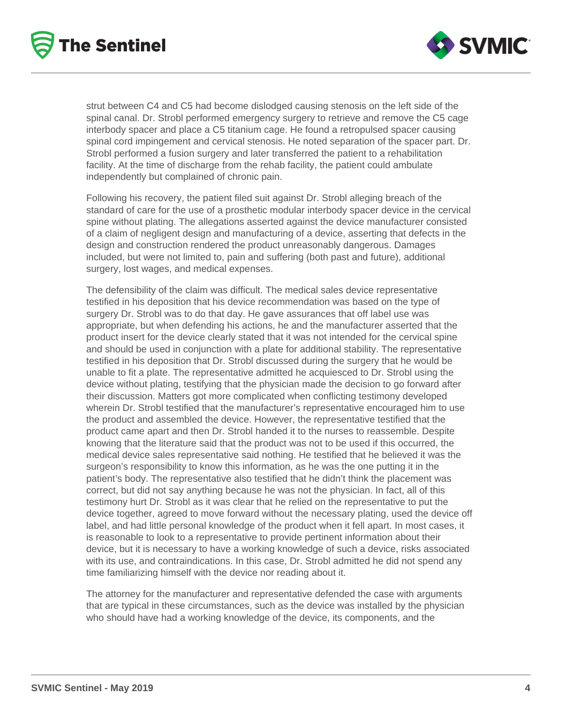



strut between C4 and C5 had become dislodged causing stenosis on the left side of the spinal canal. Dr. Strobl performed emergency surgery to retrieve and remove the C5 cage interbody spacer and place a C5 titanium cage. He found a retropulsed spacer causing spinal cord impingement and cervical stenosis. He noted separation of the spacer part. Dr. Strobl performed a fusion surgery and later transferred the patient to a rehabilitation facility. At the time of discharge from the rehab facility, the patient could ambulate independently but complained of chronic pain.

Following his recovery, the patient filed suit against Dr. Strobl alleging breach of the standard of care for the use of a prosthetic modular interbody spacer device in the cervical spine without plating. The allegations asserted against the device manufacturer consisted of a claim of negligent design and manufacturing of a device, asserting that defects in the design and construction rendered the product unreasonably dangerous. Damages included, but were not limited to, pain and suffering (both past and future), additional surgery, lost wages, and medical expenses.

The defensibility of the claim was difficult. The medical sales device representative testified in his deposition that his device recommendation was based on the type of surgery Dr. Strobl was to do that day. He gave assurances that off label use was appropriate, but when defending his actions, he and the manufacturer asserted that the product insert for the device clearly stated that it was not intended for the cervical spine and should be used in conjunction with a plate for additional stability. The representative testified in his deposition that Dr. Strobl discussed during the surgery that he would be unable to fit a plate. The representative admitted he acquiesced to Dr. Strobl using the device without plating, testifying that the physician made the decision to go forward after their discussion. Matters got more complicated when conflicting testimony developed wherein Dr. Strobl testified that the manufacturer's representative encouraged him to use the product and assembled the device. However, the representative testified that the product came apart and then Dr. Strobl handed it to the nurses to reassemble. Despite knowing that the literature said that the product was not to be used if this occurred, the medical device sales representative said nothing. He testified that he believed it was the surgeon's responsibility to know this information, as he was the one putting it in the patient's body. The representative also testified that he didn't think the placement was correct, but did not say anything because he was not the physician. In fact, all of this testimony hurt Dr. Strobl as it was clear that he relied on the representative to put the device together, agreed to move forward without the necessary plating, used the device off label, and had little personal knowledge of the product when it fell apart. In most cases, it is reasonable to look to a representative to provide pertinent information about their device, but it is necessary to have a working knowledge of such a device, risks associated with its use, and contraindications. In this case, Dr. Strobl admitted he did not spend any time familiarizing himself with the device nor reading about it.

The attorney for the manufacturer and representative defended the case with arguments that are typical in these circumstances, such as the device was installed by the physician who should have had a working knowledge of the device, its components, and the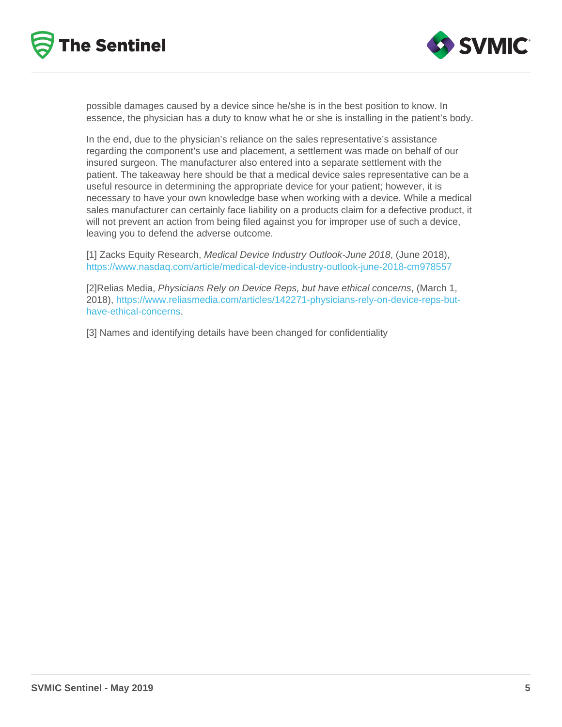possible damages caused by a device since he/she is in the best position to know. In essence, the physician has a duty to know what he or she is installing in the patient's body.

In the end, due to the physician's reliance on the sales representative's assistance regarding the component's use and placement, a settlement was made on behalf of our insured surgeon. The manufacturer also entered into a separate settlement with the patient. The takeaway here should be that a medical device sales representative can be a useful resource in determining the appropriate device for your patient; however, it is necessary to have your own knowledge base when working with a device. While a medical sales manufacturer can certainly face liability on a products claim for a defective product, it will not prevent an action from being filed against you for improper use of such a device, leaving you to defend the adverse outcome.

[1] Zacks Equity Research, Medical Device Industry Outlook-June 2018, (June 2018), <https://www.nasdaq.com/article/medical-device-industry-outlook-june-2018-cm978557>

[2]Relias Media, Physicians Rely on Device Reps, but have ethical concerns, (March 1, 2018), [https://www.reliasmedia.com/articles/142271-physicians-rely-on-device-reps-but](https://www.reliasmedia.com/articles/142271-physicians-rely-on-device-reps-but-have-ethical-concerns)[have-ethical-concerns.](https://www.reliasmedia.com/articles/142271-physicians-rely-on-device-reps-but-have-ethical-concerns)

[3] Names and identifying details have been changed for confidentiality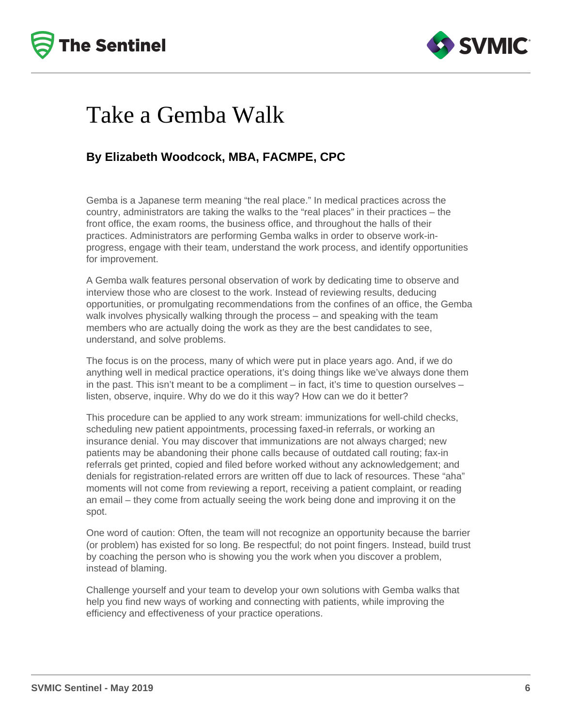



## Take a Gemba Walk

### **By Elizabeth Woodcock, MBA, FACMPE, CPC**

Gemba is a Japanese term meaning "the real place." In medical practices across the country, administrators are taking the walks to the "real places" in their practices – the front office, the exam rooms, the business office, and throughout the halls of their practices. Administrators are performing Gemba walks in order to observe work-inprogress, engage with their team, understand the work process, and identify opportunities for improvement.

A Gemba walk features personal observation of work by dedicating time to observe and interview those who are closest to the work. Instead of reviewing results, deducing opportunities, or promulgating recommendations from the confines of an office, the Gemba walk involves physically walking through the process – and speaking with the team members who are actually doing the work as they are the best candidates to see, understand, and solve problems.

The focus is on the process, many of which were put in place years ago. And, if we do anything well in medical practice operations, it's doing things like we've always done them in the past. This isn't meant to be a compliment – in fact, it's time to question ourselves – listen, observe, inquire. Why do we do it this way? How can we do it better?

This procedure can be applied to any work stream: immunizations for well-child checks, scheduling new patient appointments, processing faxed-in referrals, or working an insurance denial. You may discover that immunizations are not always charged; new patients may be abandoning their phone calls because of outdated call routing; fax-in referrals get printed, copied and filed before worked without any acknowledgement; and denials for registration-related errors are written off due to lack of resources. These "aha" moments will not come from reviewing a report, receiving a patient complaint, or reading an email – they come from actually seeing the work being done and improving it on the spot.

One word of caution: Often, the team will not recognize an opportunity because the barrier (or problem) has existed for so long. Be respectful; do not point fingers. Instead, build trust by coaching the person who is showing you the work when you discover a problem, instead of blaming.

Challenge yourself and your team to develop your own solutions with Gemba walks that help you find new ways of working and connecting with patients, while improving the efficiency and effectiveness of your practice operations.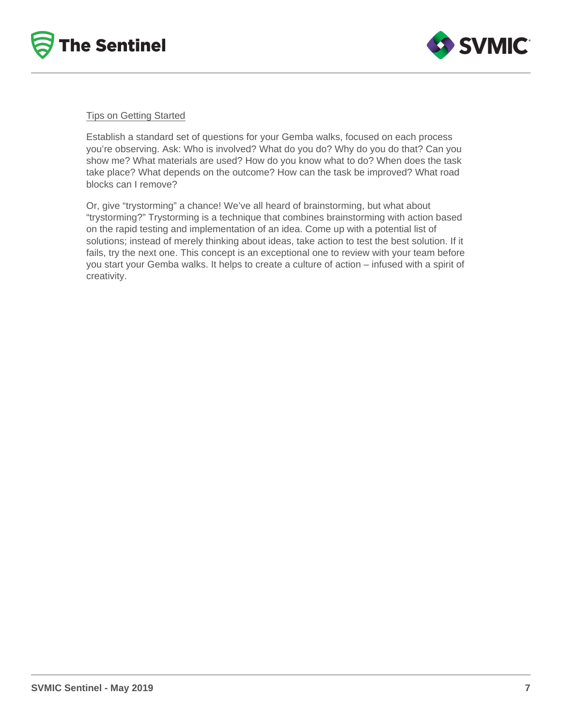



#### Tips on Getting Started

Establish a standard set of questions for your Gemba walks, focused on each process you're observing. Ask: Who is involved? What do you do? Why do you do that? Can you show me? What materials are used? How do you know what to do? When does the task take place? What depends on the outcome? How can the task be improved? What road blocks can I remove?

Or, give "trystorming" a chance! We've all heard of brainstorming, but what about "trystorming?" Trystorming is a technique that combines brainstorming with action based on the rapid testing and implementation of an idea. Come up with a potential list of solutions; instead of merely thinking about ideas, take action to test the best solution. If it fails, try the next one. This concept is an exceptional one to review with your team before you start your Gemba walks. It helps to create a culture of action – infused with a spirit of creativity.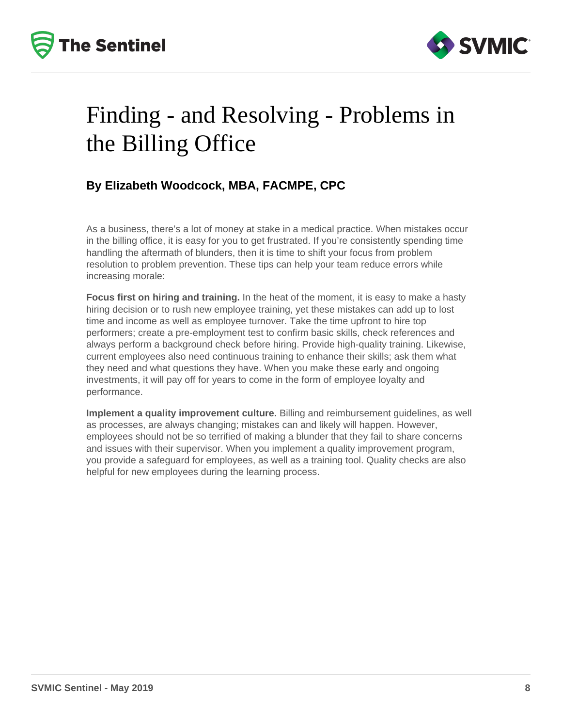



# Finding - and Resolving - Problems in the Billing Office

## **By Elizabeth Woodcock, MBA, FACMPE, CPC**

As a business, there's a lot of money at stake in a medical practice. When mistakes occur in the billing office, it is easy for you to get frustrated. If you're consistently spending time handling the aftermath of blunders, then it is time to shift your focus from problem resolution to problem prevention. These tips can help your team reduce errors while increasing morale:

**Focus first on hiring and training.** In the heat of the moment, it is easy to make a hasty hiring decision or to rush new employee training, yet these mistakes can add up to lost time and income as well as employee turnover. Take the time upfront to hire top performers; create a pre-employment test to confirm basic skills, check references and always perform a background check before hiring. Provide high-quality training. Likewise, current employees also need continuous training to enhance their skills; ask them what they need and what questions they have. When you make these early and ongoing investments, it will pay off for years to come in the form of employee loyalty and performance.

**Implement a quality improvement culture.** Billing and reimbursement guidelines, as well as processes, are always changing; mistakes can and likely will happen. However, employees should not be so terrified of making a blunder that they fail to share concerns and issues with their supervisor. When you implement a quality improvement program, you provide a safeguard for employees, as well as a training tool. Quality checks are also helpful for new employees during the learning process.